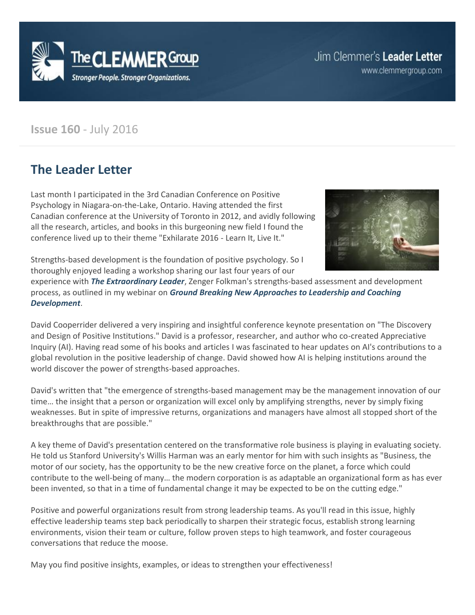

www.clemmergroup.com

#### **Issue 160** - July 2016

### **The Leader Letter**

Last month I participated in the 3rd Canadian Conference on Positive Psychology in Niagara-on-the-Lake, Ontario. Having attended the first Canadian conference at the University of Toronto in 2012, and avidly following all the research, articles, and books in this burgeoning new field I found the conference lived up to their theme "Exhilarate 2016 - Learn It, Live It."



Strengths-based development is the foundation of positive psychology. So I thoroughly enjoyed leading a workshop sharing our last four years of our

experience with *[The Extraordinary Leader](http://www.clemmergroup.com/services/zenger-folkman/extraordinary-leader/)*, Zenger Folkman's strengths-based assessment and development process, as outlined in my webinar on *[Ground Breaking New Approaches to Leadership and Coaching](http://www.clemmergroup.com/webinars/groundbreaking-new-approaches-leadership-coaching-development/)  [Development](http://www.clemmergroup.com/webinars/groundbreaking-new-approaches-leadership-coaching-development/)*.

David Cooperrider delivered a very inspiring and insightful conference keynote presentation on "The Discovery and Design of Positive Institutions." David is a professor, researcher, and author who co-created Appreciative Inquiry (AI). Having read some of his books and articles I was fascinated to hear updates on AI's contributions to a global revolution in the positive leadership of change. David showed how AI is helping institutions around the world discover the power of strengths-based approaches.

David's written that "the emergence of strengths-based management may be the management innovation of our time… the insight that a person or organization will excel only by amplifying strengths, never by simply fixing weaknesses. But in spite of impressive returns, organizations and managers have almost all stopped short of the breakthroughs that are possible."

A key theme of David's presentation centered on the transformative role business is playing in evaluating society. He told us Stanford University's Willis Harman was an early mentor for him with such insights as "Business, the motor of our society, has the opportunity to be the new creative force on the planet, a force which could contribute to the well-being of many… the modern corporation is as adaptable an organizational form as has ever been invented, so that in a time of fundamental change it may be expected to be on the cutting edge."

Positive and powerful organizations result from strong leadership teams. As you'll read in this issue, highly effective leadership teams step back periodically to sharpen their strategic focus, establish strong learning environments, vision their team or culture, follow proven steps to high teamwork, and foster courageous conversations that reduce the moose.

May you find positive insights, examples, or ideas to strengthen your effectiveness!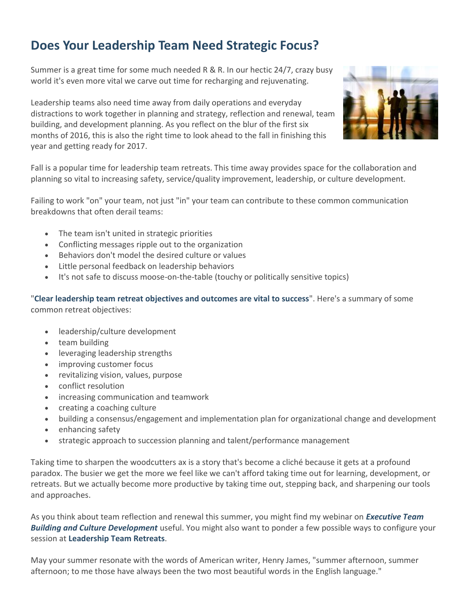# **Does Your Leadership Team Need Strategic Focus?**

Summer is a great time for some much needed R & R. In our hectic 24/7, crazy busy world it's even more vital we carve out time for recharging and rejuvenating.

Leadership teams also need time away from daily operations and everyday distractions to work together in planning and strategy, reflection and renewal, team building, and development planning. As you reflect on the blur of the first six months of 2016, this is also the right time to look ahead to the fall in finishing this year and getting ready for 2017.



Fall is a popular time for leadership team retreats. This time away provides space for the collaboration and planning so vital to increasing safety, service/quality improvement, leadership, or culture development.

Failing to work "on" your team, not just "in" your team can contribute to these common communication breakdowns that often derail teams:

- The team isn't united in strategic priorities
- Conflicting messages ripple out to the organization
- Behaviors don't model the desired culture or values
- Little personal feedback on leadership behaviors
- It's not safe to discuss moose-on-the-table (touchy or politically sensitive topics)

"**[Clear leadership team retreat objectives and outcomes are vital to success](http://www.clemmergroup.com/blog/2015/10/01/clear-leadership-team-retreat-objectives-and-outcomes-are-vital-to-success/)**". Here's a summary of some common retreat objectives:

- leadership/culture development
- team building
- leveraging leadership strengths
- improving customer focus
- revitalizing vision, values, purpose
- conflict resolution
- increasing communication and teamwork
- creating a coaching culture
- building a consensus/engagement and implementation plan for organizational change and development
- enhancing safety
- strategic approach to succession planning and talent/performance management

Taking time to sharpen the woodcutters ax is a story that's become a cliché because it gets at a profound paradox. The busier we get the more we feel like we can't afford taking time out for learning, development, or retreats. But we actually become more productive by taking time out, stepping back, and sharpening our tools and approaches.

As you think about team reflection and renewal this summer, you might find my webinar on *[Executive Team](http://www.clemmergroup.com/webinars/executive-team-building-culture-development)  [Building and Culture Development](http://www.clemmergroup.com/webinars/executive-team-building-culture-development)* useful. You might also want to ponder a few possible ways to configure your session at **[Leadership Team Retreats](http://www.clemmergroup.com/services/leadership-team-retreats/)**.

May your summer resonate with the words of American writer, Henry James, "summer afternoon, summer afternoon; to me those have always been the two most beautiful words in the English language."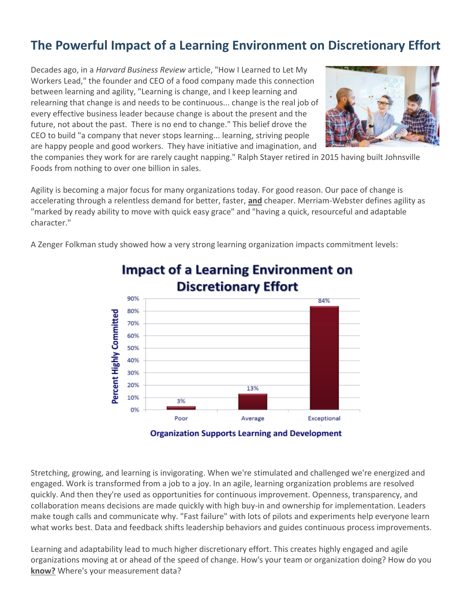# **The Powerful Impact of a Learning Environment on Discretionary Effort**

Decades ago, in a *Harvard Business Review* article, "How I Learned to Let My Workers Lead," the founder and CEO of a food company made this connection between learning and agility, "Learning is change, and I keep learning and relearning that change is and needs to be continuous... change is the real job of every effective business leader because change is about the present and the future, not about the past. There is no end to change." This belief drove the CEO to build "a company that never stops learning... learning, striving people are happy people and good workers. They have initiative and imagination, and



the companies they work for are rarely caught napping." Ralph Stayer retired in 2015 having built Johnsville Foods from nothing to over one billion in sales.

Agility is becoming a major focus for many organizations today. For good reason. Our pace of change is accelerating through a relentless demand for better, faster, **and** cheaper. Merriam-Webster defines agility as "marked by ready ability to move with quick easy grace" and "having a quick, resourceful and adaptable character."

A Zenger Folkman study showed how a very strong learning organization impacts commitment levels:



### **Impact of a Learning Environment on Discretionary Effort**

Stretching, growing, and learning is invigorating. When we're stimulated and challenged we're energized and engaged. Work is transformed from a job to a joy. In an agile, learning organization problems are resolved quickly. And then they're used as opportunities for continuous improvement. Openness, transparency, and collaboration means decisions are made quickly with high buy-in and ownership for implementation. Leaders make tough calls and communicate why. "Fast failure" with lots of pilots and experiments help everyone learn what works best. Data and feedback shifts leadership behaviors and guides continuous process improvements.

Learning and adaptability lead to much higher discretionary effort. This creates highly engaged and agile organizations moving at or ahead of the speed of change. How's your team or organization doing? How do you **know?** Where's your measurement data?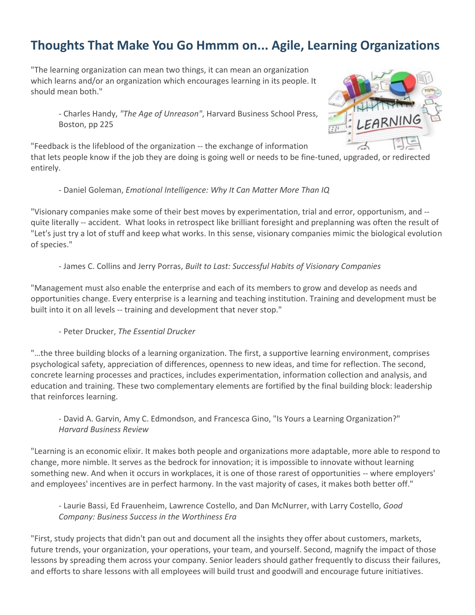# **Thoughts That Make You Go Hmmm on... Agile, Learning Organizations**

"The learning organization can mean two things, it can mean an organization which learns and/or an organization which encourages learning in its people. It should mean both."

- Charles Handy, *"The Age of Unreason"*, Harvard Business School Press, Boston, pp 225



"Feedback is the lifeblood of the organization -- the exchange of information that lets people know if the job they are doing is going well or needs to be fine-tuned, upgraded, or redirected entirely.

- Daniel Goleman, *Emotional Intelligence: Why It Can Matter More Than IQ*

"Visionary companies make some of their best moves by experimentation, trial and error, opportunism, and - quite literally -- accident. What looks in retrospect like brilliant foresight and preplanning was often the result of "Let's just try a lot of stuff and keep what works. In this sense, visionary companies mimic the biological evolution of species."

- James C. Collins and Jerry Porras, *Built to Last: Successful Habits of Visionary Companies*

"Management must also enable the enterprise and each of its members to grow and develop as needs and opportunities change. Every enterprise is a learning and teaching institution. Training and development must be built into it on all levels -- training and development that never stop."

#### - Peter Drucker, *The Essential Drucker*

"…the three building blocks of a learning organization. The first, a supportive learning environment, comprises psychological safety, appreciation of differences, openness to new ideas, and time for reflection. The second, concrete learning processes and practices, includes experimentation, information collection and analysis, and education and training. These two complementary elements are fortified by the final building block: leadership that reinforces learning.

- David A. Garvin, Amy C. Edmondson, and Francesca Gino, "Is Yours a Learning Organization?" *Harvard Business Review*

"Learning is an economic elixir. It makes both people and organizations more adaptable, more able to respond to change, more nimble. It serves as the bedrock for innovation; it is impossible to innovate without learning something new. And when it occurs in workplaces, it is one of those rarest of opportunities -- where employers' and employees' incentives are in perfect harmony. In the vast majority of cases, it makes both better off."

- Laurie Bassi, Ed Frauenheim, Lawrence Costello, and Dan McNurrer, with Larry Costello, *Good Company: Business Success in the Worthiness Era* 

"First, study projects that didn't pan out and document all the insights they offer about customers, markets, future trends, your organization, your operations, your team, and yourself. Second, magnify the impact of those lessons by spreading them across your company. Senior leaders should gather frequently to discuss their failures, and efforts to share lessons with all employees will build trust and goodwill and encourage future initiatives.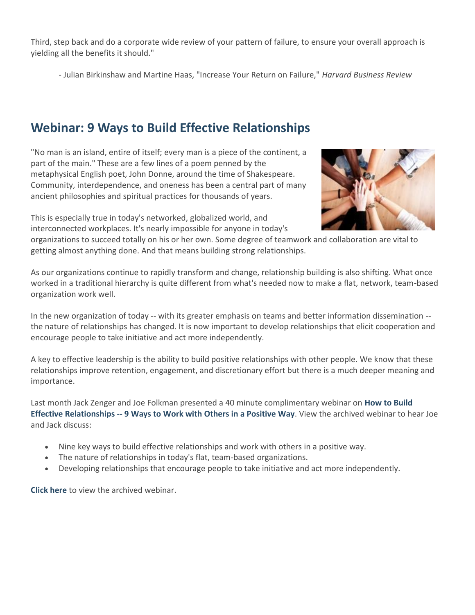Third, step back and do a corporate wide review of your pattern of failure, to ensure your overall approach is yielding all the benefits it should."

- Julian Birkinshaw and Martine Haas, "Increase Your Return on Failure," *Harvard Business Review*

# **Webinar: 9 Ways to Build Effective Relationships**

"No man is an island, entire of itself; every man is a piece of the continent, a part of the main." These are a few lines of a poem penned by the metaphysical English poet, John Donne, around the time of Shakespeare. Community, interdependence, and oneness has been a central part of many ancient philosophies and spiritual practices for thousands of years.

This is especially true in today's networked, globalized world, and interconnected workplaces. It's nearly impossible for anyone in today's



organizations to succeed totally on his or her own. Some degree of teamwork and collaboration are vital to getting almost anything done. And that means building strong relationships.

As our organizations continue to rapidly transform and change, relationship building is also shifting. What once worked in a traditional hierarchy is quite different from what's needed now to make a flat, network, team-based organization work well.

In the new organization of today -- with its greater emphasis on teams and better information dissemination - the nature of relationships has changed. It is now important to develop relationships that elicit cooperation and encourage people to take initiative and act more independently.

A key to effective leadership is the ability to build positive relationships with other people. We know that these relationships improve retention, engagement, and discretionary effort but there is a much deeper meaning and importance.

Last month Jack Zenger and Joe Folkman presented a 40 minute complimentary webinar on **[How to Build](http://www.clemmergroup.com/webinars/build-effective-relationships/)  Effective Relationships -- [9 Ways to Work with Others in a Positive Way](http://www.clemmergroup.com/webinars/build-effective-relationships/)**. View the archived webinar to hear Joe and Jack discuss:

- Nine key ways to build effective relationships and work with others in a positive way.
- The nature of relationships in today's flat, team-based organizations.
- Developing relationships that encourage people to take initiative and act more independently.

**[Click here](http://www.clemmergroup.com/webinars/build-effective-relationships/)** to view the archived webinar.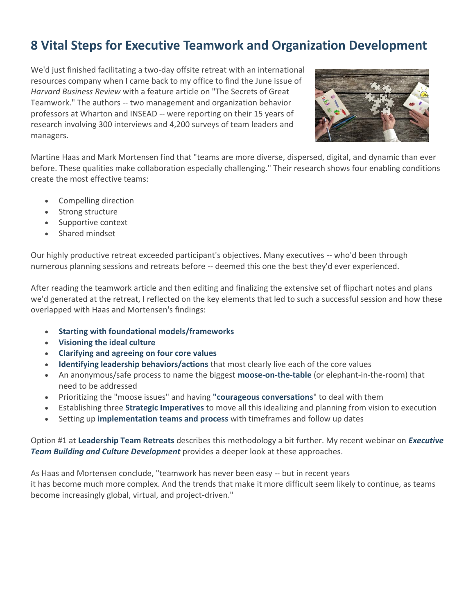## **8 Vital Steps for Executive Teamwork and Organization Development**

We'd just finished facilitating a two-day offsite retreat with an international resources company when I came back to my office to find the June issue of *Harvard Business Review* with a feature article on "The Secrets of Great Teamwork." The authors -- two management and organization behavior professors at Wharton and INSEAD -- were reporting on their 15 years of research involving 300 interviews and 4,200 surveys of team leaders and managers.



Martine Haas and Mark Mortensen find that "teams are more diverse, dispersed, digital, and dynamic than ever before. These qualities make collaboration especially challenging." Their research shows four enabling conditions create the most effective teams:

- Compelling direction
- Strong structure
- Supportive context
- Shared mindset

Our highly productive retreat exceeded participant's objectives. Many executives -- who'd been through numerous planning sessions and retreats before -- deemed this one the best they'd ever experienced.

After reading the teamwork article and then editing and finalizing the extensive set of flipchart notes and plans we'd generated at the retreat, I reflected on the key elements that led to such a successful session and how these overlapped with Haas and Mortensen's findings:

- **[Starting with foundational models/frameworks](http://www.clemmergroup.com/services/culture-organization-development/high-performance-leadership-models/)**
- **[Visioning the ideal culture](http://www.clemmergroup.com/articles/organizational-visioning-pathways-pitfalls/)**
- **[Clarifying and agreeing on four core values](http://www.clemmergroup.com/articles/pathways-pitfalls-clarifying-organizational-values/)**
- **[Identifying leadership behaviors/actions](http://www.clemmergroup.com/blog/2012/05/10/vision-values-and-mission-well-lived-trumps-well-written/)** that most clearly live each of the core values
- An anonymous/safe process to name the biggest **[moose-on-the-table](http://www.clemmergroup.com/blog/2007/10/03/more-moose-hunting/)** (or elephant-in-the-room) that need to be addressed
- Prioritizing the "moose issues" and having **["courageous conversations](http://www.clemmergroup.com/blog/2010/10/19/a-culture-of-courageous-conversations-speaking-up-and-listening-overcomes-the-price-of-fear/)**" to deal with them
- Establishing three **[Strategic Imperatives](http://www.clemmergroup.com/services/culture-organization-development/using-strategic-imperatives-drive-teamorganization-development/)** to move all this idealizing and planning from vision to execution
- Setting up **[implementation teams and process](http://www.clemmergroup.com/blog/2008/11/06/setting-and-cascading-goals-for-increased-effectiveness/)** with timeframes and follow up dates

Option #1 at **[Leadership Team Retreats](http://www.clemmergroup.com/services/leadership-team-retreats/)** describes this methodology a bit further. My recent webinar on *[Executive](http://www.clemmergroup.com/webinars/executive-team-building-culture-development)  [Team Building and Culture Development](http://www.clemmergroup.com/webinars/executive-team-building-culture-development)* provides a deeper look at these approaches.

As Haas and Mortensen conclude, "teamwork has never been easy -- but in recent years it has become much more complex. And the trends that make it more difficult seem likely to continue, as teams become increasingly global, virtual, and project-driven."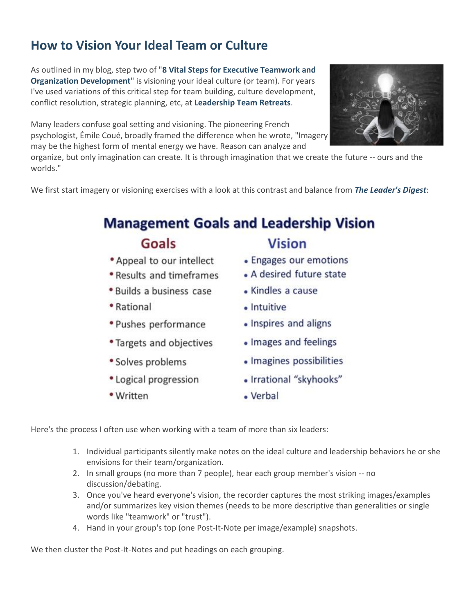# **How to Vision Your Ideal Team or Culture**

As outlined in my blog, step two of "**[8 Vital Steps for Executive Teamwork and](http://www.clemmergroup.com/blog/2016/06/14/8-vital-steps-executive-teamwork-organization-development/)  [Organization Development](http://www.clemmergroup.com/blog/2016/06/14/8-vital-steps-executive-teamwork-organization-development/)**" is visioning your ideal culture (or team). For years I've used variations of this critical step for team building, culture development, conflict resolution, strategic planning, etc, at **[Leadership Team Retreats](http://www.clemmergroup.com/services/leadership-team-retreats/)**.

Many leaders confuse goal setting and visioning. The pioneering French psychologist, Émile Coué, broadly framed the difference when he wrote, "Imagery may be the highest form of mental energy we have. Reason can analyze and

organize, but only imagination can create. It is through imagination that we create the future -- ours and the worlds."

We first start imagery or visioning exercises with a look at this contrast and balance from *[The Leader's Digest](http://www.clemmergroup.com/services/leadership-books/leaders-digest/)*:

# **Management Goals and Leadership Vision**

#### Goals

- \* Appeal to our intellect
- . Results and timeframes
- · Builds a business case
- Rational
- Pushes performance
- Targets and objectives
- Solves problems
- Logical progression
- Written

**Vision** 

- Engages our emotions
- A desired future state
- Kindles a cause
- Intuitive
- Inspires and aligns
- Images and feelings
- Imagines possibilities
- Irrational "skyhooks"
- Verbal

Here's the process I often use when working with a team of more than six leaders:

- 1. Individual participants silently make notes on the ideal culture and leadership behaviors he or she envisions for their team/organization.
- 2. In small groups (no more than 7 people), hear each group member's vision -- no discussion/debating.
- 3. Once you've heard everyone's vision, the recorder captures the most striking images/examples and/or summarizes key vision themes (needs to be more descriptive than generalities or single words like "teamwork" or "trust").
- 4. Hand in your group's top (one Post-It-Note per image/example) snapshots.

We then cluster the Post-It-Notes and put headings on each grouping.

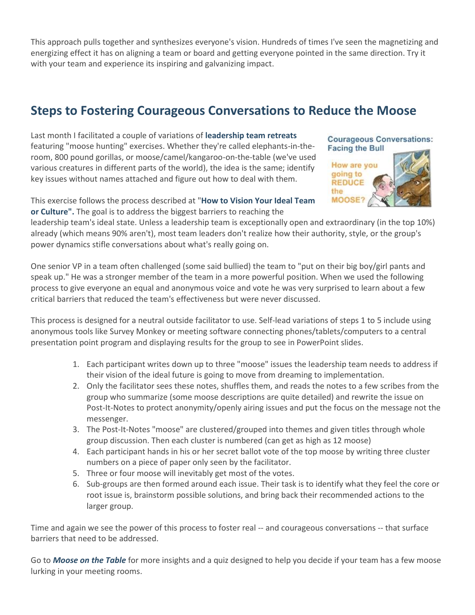This approach pulls together and synthesizes everyone's vision. Hundreds of times I've seen the magnetizing and energizing effect it has on aligning a team or board and getting everyone pointed in the same direction. Try it with your team and experience its inspiring and galvanizing impact.

# **Steps to Fostering Courageous Conversations to Reduce the Moose**

Last month I facilitated a couple of variations of **[leadership team retreats](http://www.clemmergroup.com/services/leadership-team-retreats/)** featuring "moose hunting" exercises. Whether they're called elephants-in-theroom, 800 pound gorillas, or moose/camel/kangaroo-on-the-table (we've used various creatures in different parts of the world), the idea is the same; identify key issues without names attached and figure out how to deal with them.

**Courageous Conversations: Facing the Bull** 



This exercise follows the process described at "**[How to Vision Your Ideal Team](http://www.clemmergroup.com/blog/2016/06/16/vision-ideal-team-culture/)  [or Culture".](http://www.clemmergroup.com/blog/2016/06/16/vision-ideal-team-culture/)** The goal is to address the biggest barriers to reaching the

leadership team's ideal state. Unless a leadership team is exceptionally open and extraordinary (in the top 10%) already (which means 90% aren't), most team leaders don't realize how their authority, style, or the group's power dynamics stifle conversations about what's really going on.

One senior VP in a team often challenged (some said bullied) the team to "put on their big boy/girl pants and speak up." He was a stronger member of the team in a more powerful position. When we used the following process to give everyone an equal and anonymous voice and vote he was very surprised to learn about a few critical barriers that reduced the team's effectiveness but were never discussed.

This process is designed for a neutral outside facilitator to use. Self-lead variations of steps 1 to 5 include using anonymous tools like Survey Monkey or meeting software connecting phones/tablets/computers to a central presentation point program and displaying results for the group to see in PowerPoint slides.

- 1. Each participant writes down up to three "moose" issues the leadership team needs to address if their vision of the ideal future is going to move from dreaming to implementation.
- 2. Only the facilitator sees these notes, shuffles them, and reads the notes to a few scribes from the group who summarize (some moose descriptions are quite detailed) and rewrite the issue on Post-It-Notes to protect anonymity/openly airing issues and put the focus on the message not the messenger.
- 3. The Post-It-Notes "moose" are clustered/grouped into themes and given titles through whole group discussion. Then each cluster is numbered (can get as high as 12 moose)
- 4. Each participant hands in his or her secret ballot vote of the top moose by writing three cluster numbers on a piece of paper only seen by the facilitator.
- 5. Three or four moose will inevitably get most of the votes.
- 6. Sub-groups are then formed around each issue. Their task is to identify what they feel the core or root issue is, brainstorm possible solutions, and bring back their recommended actions to the larger group.

Time and again we see the power of this process to foster real -- and courageous conversations -- that surface barriers that need to be addressed.

Go to *[Moose on the Table](http://www.clemmergroup.com/services/leadership-books/moose-table/)* for more insights and a quiz designed to help you decide if your team has a few moose lurking in your meeting rooms.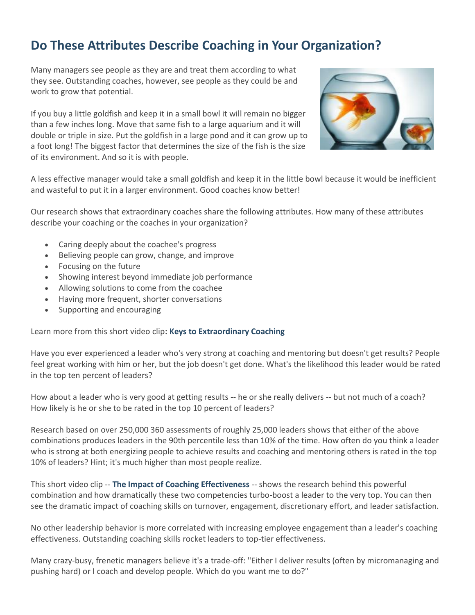# **Do These Attributes Describe Coaching in Your Organization?**

Many managers see people as they are and treat them according to what they see. Outstanding coaches, however, see people as they could be and work to grow that potential.

If you buy a little goldfish and keep it in a small bowl it will remain no bigger than a few inches long. Move that same fish to a large aquarium and it will double or triple in size. Put the goldfish in a large pond and it can grow up to a foot long! The biggest factor that determines the size of the fish is the size of its environment. And so it is with people.



A less effective manager would take a small goldfish and keep it in the little bowl because it would be inefficient and wasteful to put it in a larger environment. Good coaches know better!

Our research shows that extraordinary coaches share the following attributes. How many of these attributes describe your coaching or the coaches in your organization?

- Caring deeply about the coachee's progress
- Believing people can grow, change, and improve
- Focusing on the future
- Showing interest beyond immediate job performance
- Allowing solutions to come from the coachee
- Having more frequent, shorter conversations
- Supporting and encouraging

Learn more from this short video clip**: [Keys to Extraordinary Coaching](http://www.clemmergroup.com/videos/keys-to-extraordinary-coaching/)**

Have you ever experienced a leader who's very strong at coaching and mentoring but doesn't get results? People feel great working with him or her, but the job doesn't get done. What's the likelihood this leader would be rated in the top ten percent of leaders?

How about a leader who is very good at getting results -- he or she really delivers -- but not much of a coach? How likely is he or she to be rated in the top 10 percent of leaders?

Research based on over 250,000 360 assessments of roughly 25,000 leaders shows that either of the above combinations produces leaders in the 90th percentile less than 10% of the time. How often do you think a leader who is strong at both energizing people to achieve results and coaching and mentoring others is rated in the top 10% of leaders? Hint; it's much higher than most people realize.

This short video clip -- **[The Impact of Coaching Effectiveness](http://www.clemmergroup.com/videos/the-impact-of-coaching-effectiveness/)** -- shows the research behind this powerful combination and how dramatically these two competencies turbo-boost a leader to the very top. You can then see the dramatic impact of coaching skills on turnover, engagement, discretionary effort, and leader satisfaction.

No other leadership behavior is more correlated with increasing employee engagement than a leader's coaching effectiveness. Outstanding coaching skills rocket leaders to top-tier effectiveness.

Many crazy-busy, frenetic managers believe it's a trade-off: "Either I deliver results (often by micromanaging and pushing hard) or I coach and develop people. Which do you want me to do?"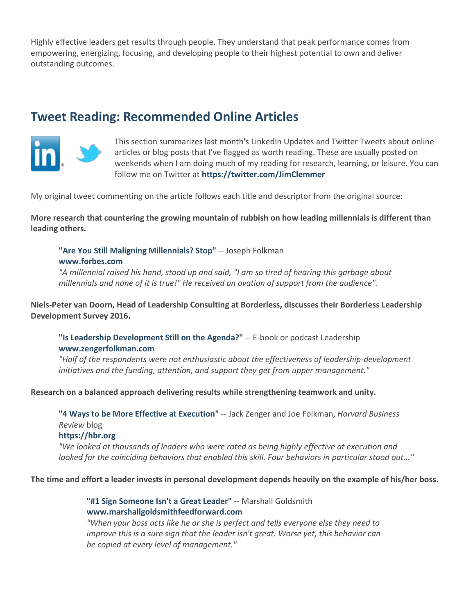Highly effective leaders get results through people. They understand that peak performance comes from empowering, energizing, focusing, and developing people to their highest potential to own and deliver outstanding outcomes.

#### **Tweet Reading: Recommended Online Articles**



This section summarizes last month's LinkedIn Updates and Twitter Tweets about online articles or blog posts that I've flagged as worth reading. These are usually posted on weekends when I am doing much of my reading for research, learning, or leisure. You can follow me on Twitter at **<https://twitter.com/JimClemmer>**

My original tweet commenting on the article follows each title and descriptor from the original source:

**More research that countering the growing mountain of rubbish on how leading millennials is different than leading others.**

**["Are You Still Maligning Millennials? Stop"](http://www.forbes.com/sites/joefolkman/2016/06/08/are-you-still-maligning-millennials-stop/#66a1373e4f79)** -- Joseph Folkman **[www.forbes.com](http://www.forbes.com/)**

*"A millennial raised his hand, stood up and said, "I am so tired of hearing this garbage about millennials and none of it is true!" He received an ovation of support from the audience".*

**Niels-Peter van Doorn, Head of Leadership Consulting at Borderless, discusses their Borderless Leadership Development Survey 2016.** 

**["Is Leadership Development Still on the Agenda?"](http://leadership.zengerfolkman.com/acton/attachment/10129/f-05b2/1/-/-/-/-/eBook%2016%20Niels-Peter%20van%20Doorn.pdf)** -- E-book or podcast Leadership **[www.zengerfolkman.com](http://www.zengerfolkman.com/)**

*"Half of the respondents were not enthusiastic about the effectiveness of leadership-development initiatives and the funding, attention, and support they get from upper management."*

**Research on a balanced approach delivering results while strengthening teamwork and unity.**

**["4 Ways to be More Effective at Execution"](https://hbr.org/2016/05/4-ways-to-be-more-effective-at-execution)** -- Jack Zenger and Joe Folkman, *Harvard Business Review* blog

#### **[https://hbr.org](https://hbr.org/)**

*"We looked at thousands of leaders who were rated as being highly effective at execution and*  looked for the coinciding behaviors that enabled this skill. Four behaviors in particular stood out..."

**The time and effort a leader invests in personal development depends heavily on the example of his/her boss.**

**["#1 Sign Someone Isn't a Great Leader"](http://www.marshallgoldsmithfeedforward.com/marshallgoldsmithblog/?p=1183)** -- Marshall Goldsmith **[www.marshallgoldsmithfeedforward.com](http://www.marshallgoldsmithfeedforward.com/)**

*"When your boss acts like he or she is perfect and tells everyone else they need to improve this is a sure sign that the leader isn't great. Worse yet, this behavior can be copied at every level of management."*